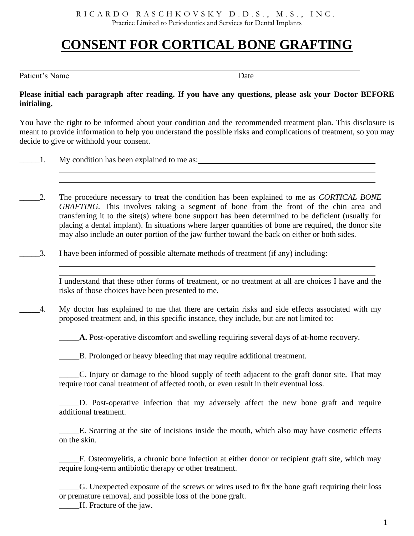R I C A R D O R A S C H K O V S K Y D . D . S ., M . S ., I N C . Practice Limited to Periodontics and Services for Dental Implants

# **CONSENT FOR CORTICAL BONE GRAFTING**

Patient's Name Date

## **Please initial each paragraph after reading. If you have any questions, please ask your Doctor BEFORE initialing.**

You have the right to be informed about your condition and the recommended treatment plan. This disclosure is meant to provide information to help you understand the possible risks and complications of treatment, so you may decide to give or withhold your consent.

1. My condition has been explained to me as:

- \_\_\_\_\_2. The procedure necessary to treat the condition has been explained to me as *CORTICAL BONE GRAFTING.* This involves taking a segment of bone from the front of the chin area and transferring it to the site(s) where bone support has been determined to be deficient (usually for placing a dental implant). In situations where larger quantities of bone are required, the donor site may also include an outer portion of the jaw further toward the back on either or both sides.
	- \_\_\_\_\_3. I have been informed of possible alternate methods of treatment (if any) including:

I understand that these other forms of treatment, or no treatment at all are choices I have and the risks of those choices have been presented to me.

\_\_\_\_\_4. My doctor has explained to me that there are certain risks and side effects associated with my proposed treatment and, in this specific instance, they include, but are not limited to:

\_\_\_\_\_**A.** Post-operative discomfort and swelling requiring several days of at-home recovery.

\_\_\_\_\_B. Prolonged or heavy bleeding that may require additional treatment.

\_\_\_\_\_C. Injury or damage to the blood supply of teeth adjacent to the graft donor site. That may require root canal treatment of affected tooth, or even result in their eventual loss.

\_\_\_\_\_D. Post-operative infection that my adversely affect the new bone graft and require additional treatment.

\_\_\_\_\_E. Scarring at the site of incisions inside the mouth, which also may have cosmetic effects on the skin.

F. Osteomyelitis, a chronic bone infection at either donor or recipient graft site, which may require long-term antibiotic therapy or other treatment.

\_\_\_\_\_G. Unexpected exposure of the screws or wires used to fix the bone graft requiring their loss or premature removal, and possible loss of the bone graft.

\_\_\_\_\_H. Fracture of the jaw.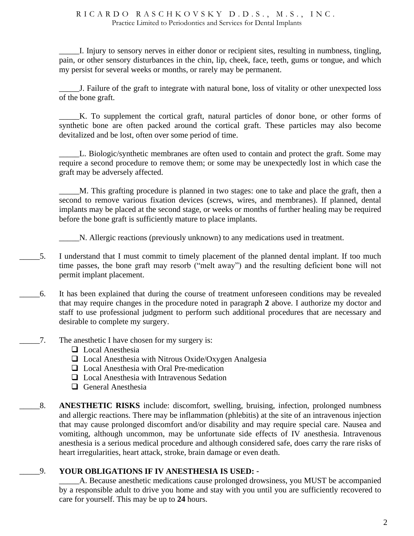#### R I C A R D O R A S C H K O V S K Y D . D . S ., M . S ., I N C . Practice Limited to Periodontics and Services for Dental Implants

\_\_\_\_\_I. Injury to sensory nerves in either donor or recipient sites, resulting in numbness, tingling, pain, or other sensory disturbances in the chin, lip, cheek, face, teeth, gums or tongue, and which my persist for several weeks or months, or rarely may be permanent.

\_\_\_\_\_J. Failure of the graft to integrate with natural bone, loss of vitality or other unexpected loss of the bone graft.

\_\_\_\_\_K. To supplement the cortical graft, natural particles of donor bone, or other forms of synthetic bone are often packed around the cortical graft. These particles may also become devitalized and be lost, often over some period of time.

L. Biologic/synthetic membranes are often used to contain and protect the graft. Some may require a second procedure to remove them; or some may be unexpectedly lost in which case the graft may be adversely affected.

\_\_\_\_\_M. This grafting procedure is planned in two stages: one to take and place the graft, then a second to remove various fixation devices (screws, wires, and membranes). If planned, dental implants may be placed at the second stage, or weeks or months of further healing may be required before the bone graft is sufficiently mature to place implants.

\_\_\_\_\_N. Allergic reactions (previously unknown) to any medications used in treatment.

- \_\_\_\_\_5. I understand that I must commit to timely placement of the planned dental implant. If too much time passes, the bone graft may resorb ("melt away") and the resulting deficient bone will not permit implant placement.
- \_\_\_\_\_6. It has been explained that during the course of treatment unforeseen conditions may be revealed that may require changes in the procedure noted in paragraph **2** above. I authorize my doctor and staff to use professional judgment to perform such additional procedures that are necessary and desirable to complete my surgery.
- $\Box$ 7. The anesthetic I have chosen for my surgery is:
	- ❑ Local Anesthesia
	- ❑ Local Anesthesia with Nitrous Oxide/Oxygen Analgesia
	- ❑ Local Anesthesia with Oral Pre-medication
	- ❑ Local Anesthesia with Intravenous Sedation
	- ❑ General Anesthesia
- \_\_\_\_\_8. **ANESTHETIC RISKS** include: discomfort, swelling, bruising, infection, prolonged numbness and allergic reactions. There may be inflammation (phlebitis) at the site of an intravenous injection that may cause prolonged discomfort and/or disability and may require special care. Nausea and vomiting, although uncommon, may be unfortunate side effects of IV anesthesia. Intravenous anesthesia is a serious medical procedure and although considered safe, does carry the rare risks of heart irregularities, heart attack, stroke, brain damage or even death.

# \_\_\_\_\_9. **YOUR OBLIGATIONS IF IV ANESTHESIA IS USED:** -

A. Because anesthetic medications cause prolonged drowsiness, you MUST be accompanied by a responsible adult to drive you home and stay with you until you are sufficiently recovered to care for yourself. This may be up to **24** hours.